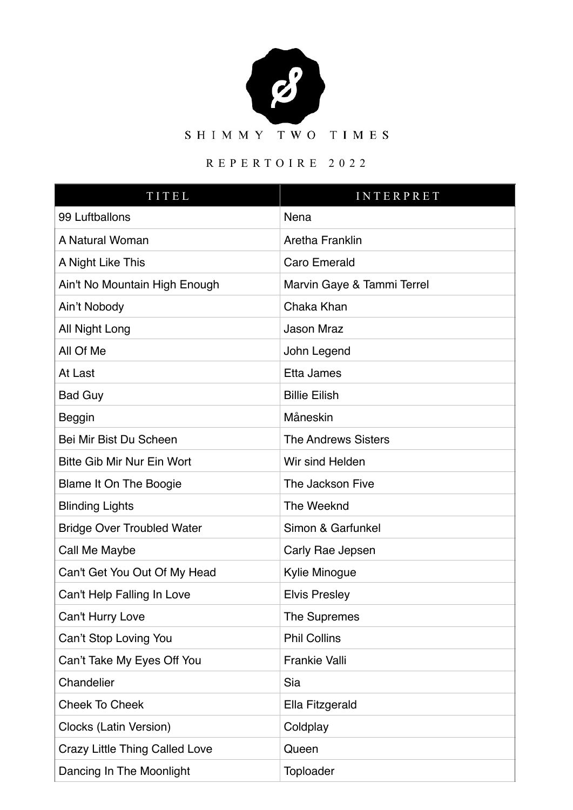

## REPERTOIRE 2022

| TITEL                                 | <b>INTERPRET</b>           |
|---------------------------------------|----------------------------|
| 99 Luftballons                        | Nena                       |
| A Natural Woman                       | Aretha Franklin            |
| A Night Like This                     | Caro Emerald               |
| Ain't No Mountain High Enough         | Marvin Gaye & Tammi Terrel |
| Ain't Nobody                          | Chaka Khan                 |
| All Night Long                        | <b>Jason Mraz</b>          |
| All Of Me                             | John Legend                |
| At Last                               | Etta James                 |
| <b>Bad Guy</b>                        | <b>Billie Eilish</b>       |
| <b>Beggin</b>                         | Måneskin                   |
| Bei Mir Bist Du Scheen                | <b>The Andrews Sisters</b> |
| <b>Bitte Gib Mir Nur Ein Wort</b>     | Wir sind Helden            |
| Blame It On The Boogie                | The Jackson Five           |
| <b>Blinding Lights</b>                | The Weeknd                 |
| <b>Bridge Over Troubled Water</b>     | Simon & Garfunkel          |
| Call Me Maybe                         | Carly Rae Jepsen           |
| Can't Get You Out Of My Head          | Kylie Minogue              |
| Can't Help Falling In Love            | <b>Elvis Presley</b>       |
| Can't Hurry Love                      | The Supremes               |
| Can't Stop Loving You                 | <b>Phil Collins</b>        |
| Can't Take My Eyes Off You            | <b>Frankie Valli</b>       |
| Chandelier                            | Sia                        |
| <b>Cheek To Cheek</b>                 | Ella Fitzgerald            |
| Clocks (Latin Version)                | Coldplay                   |
| <b>Crazy Little Thing Called Love</b> | Queen                      |
| Dancing In The Moonlight              | Toploader                  |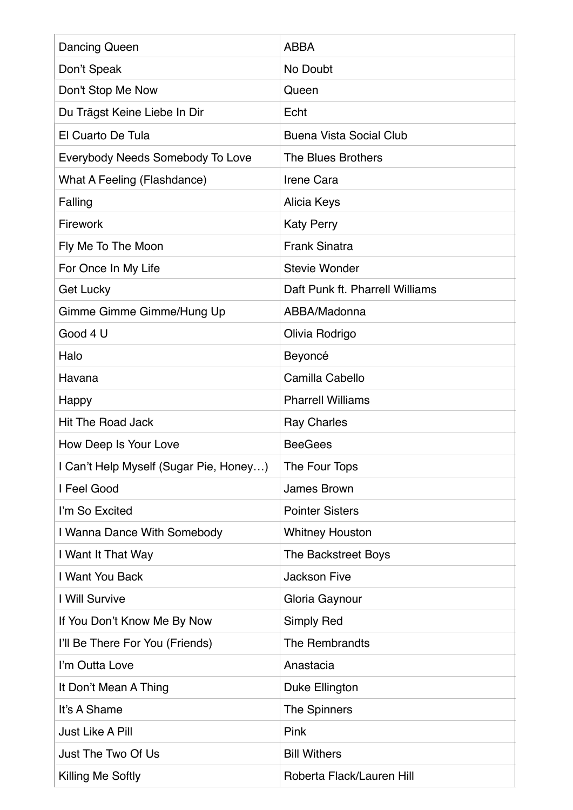| Dancing Queen                          | <b>ABBA</b>                     |
|----------------------------------------|---------------------------------|
| Don't Speak                            | No Doubt                        |
| Don't Stop Me Now                      | Queen                           |
| Du Trägst Keine Liebe In Dir           | Echt                            |
| El Cuarto De Tula                      | <b>Buena Vista Social Club</b>  |
| Everybody Needs Somebody To Love       | The Blues Brothers              |
| What A Feeling (Flashdance)            | <b>Irene Cara</b>               |
| Falling                                | Alicia Keys                     |
| Firework                               | <b>Katy Perry</b>               |
| Fly Me To The Moon                     | <b>Frank Sinatra</b>            |
| For Once In My Life                    | <b>Stevie Wonder</b>            |
| <b>Get Lucky</b>                       | Daft Punk ft. Pharrell Williams |
| Gimme Gimme Gimme/Hung Up              | ABBA/Madonna                    |
| Good 4 U                               | Olivia Rodrigo                  |
| Halo                                   | Beyoncé                         |
| Havana                                 | Camilla Cabello                 |
| Happy                                  | <b>Pharrell Williams</b>        |
| <b>Hit The Road Jack</b>               | <b>Ray Charles</b>              |
| How Deep Is Your Love                  | <b>BeeGees</b>                  |
| I Can't Help Myself (Sugar Pie, Honey) | The Four Tops                   |
| I Feel Good                            | James Brown                     |
| I'm So Excited                         | <b>Pointer Sisters</b>          |
| I Wanna Dance With Somebody            | <b>Whitney Houston</b>          |
| I Want It That Way                     | The Backstreet Boys             |
| I Want You Back                        | <b>Jackson Five</b>             |
| I Will Survive                         | Gloria Gaynour                  |
| If You Don't Know Me By Now            | Simply Red                      |
| I'll Be There For You (Friends)        | The Rembrandts                  |
| I'm Outta Love                         | Anastacia                       |
| It Don't Mean A Thing                  | Duke Ellington                  |
| It's A Shame                           | The Spinners                    |
| <b>Just Like A Pill</b>                | Pink                            |
| Just The Two Of Us                     | <b>Bill Withers</b>             |
| Killing Me Softly                      | Roberta Flack/Lauren Hill       |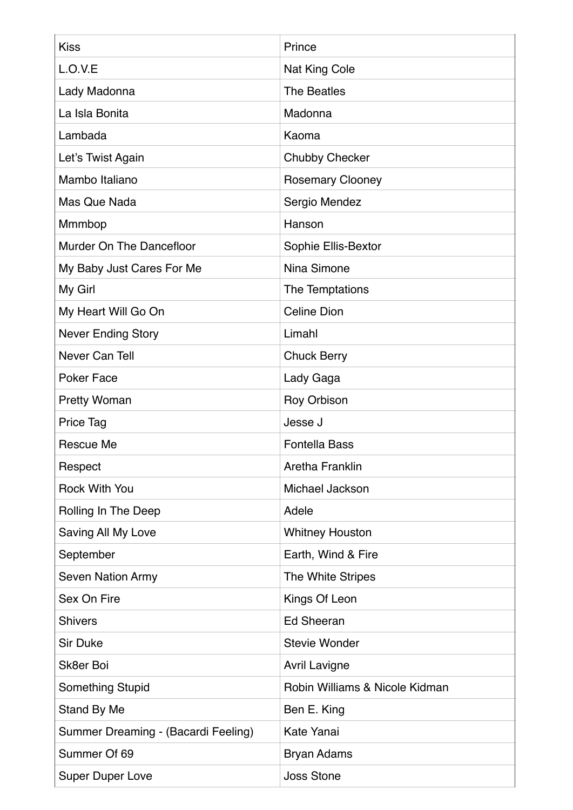| <b>Kiss</b>                         | Prince                         |
|-------------------------------------|--------------------------------|
| L.O.V.E                             | Nat King Cole                  |
| Lady Madonna                        | <b>The Beatles</b>             |
| La Isla Bonita                      | Madonna                        |
| Lambada                             | Kaoma                          |
| Let's Twist Again                   | <b>Chubby Checker</b>          |
| Mambo Italiano                      | <b>Rosemary Clooney</b>        |
| Mas Que Nada                        | Sergio Mendez                  |
| Mmmbop                              | Hanson                         |
| Murder On The Dancefloor            | Sophie Ellis-Bextor            |
| My Baby Just Cares For Me           | Nina Simone                    |
| My Girl                             | The Temptations                |
| My Heart Will Go On                 | <b>Celine Dion</b>             |
| <b>Never Ending Story</b>           | Limahl                         |
| Never Can Tell                      | <b>Chuck Berry</b>             |
| <b>Poker Face</b>                   | Lady Gaga                      |
| <b>Pretty Woman</b>                 | Roy Orbison                    |
| <b>Price Tag</b>                    | Jesse J                        |
| Rescue Me                           | <b>Fontella Bass</b>           |
| Respect                             | Aretha Franklin                |
| <b>Rock With You</b>                | Michael Jackson                |
| Rolling In The Deep                 | Adele                          |
| Saving All My Love                  | <b>Whitney Houston</b>         |
| September                           | Earth, Wind & Fire             |
| <b>Seven Nation Army</b>            | The White Stripes              |
| Sex On Fire                         | Kings Of Leon                  |
| <b>Shivers</b>                      | <b>Ed Sheeran</b>              |
| <b>Sir Duke</b>                     | <b>Stevie Wonder</b>           |
| Sk8er Boi                           | <b>Avril Lavigne</b>           |
| Something Stupid                    | Robin Williams & Nicole Kidman |
| Stand By Me                         | Ben E. King                    |
| Summer Dreaming - (Bacardi Feeling) | Kate Yanai                     |
| Summer Of 69                        | <b>Bryan Adams</b>             |
| <b>Super Duper Love</b>             | <b>Joss Stone</b>              |